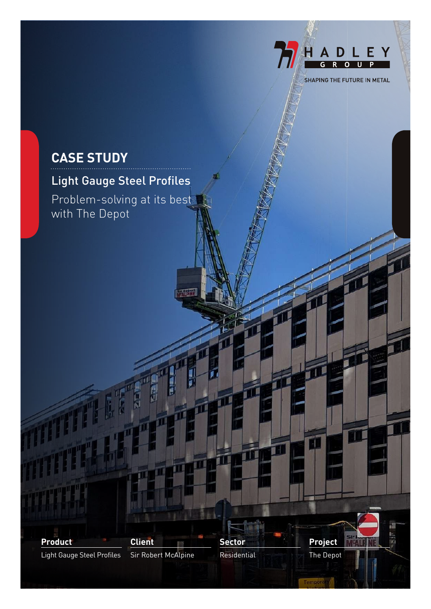## **CASE STUDY**

## Light Gauge Steel Profiles

Problem-solving at its best with The Depot



īú

TI

m

抗

HADLEY

 $\mathbf{u}$ 

Ħ

Ħ٦

T

SHAPING THE FUTURE IN METAL